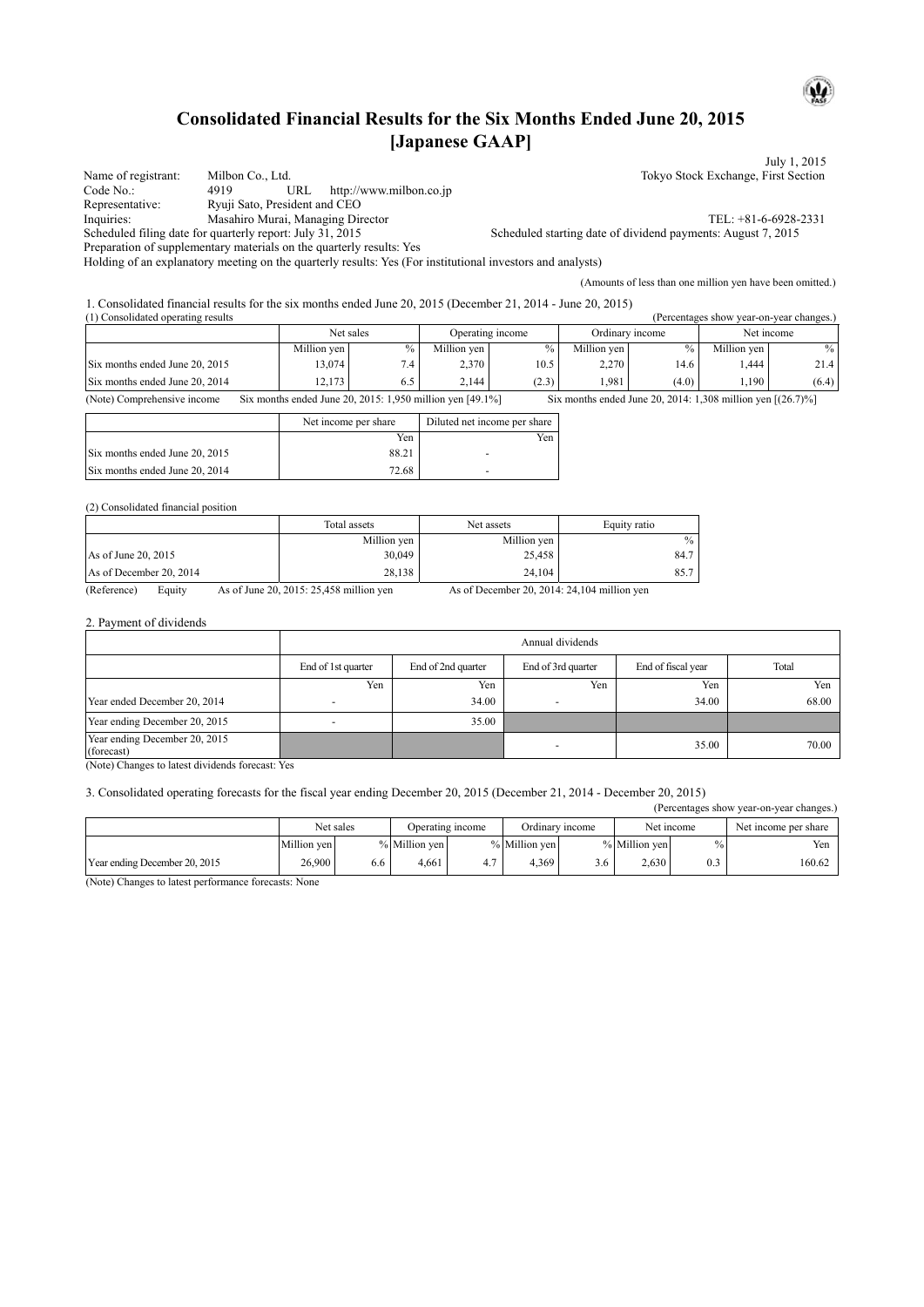# **Consolidated Financial Results for the Six Months Ended June 20, 2015 [Japanese GAAP]**

|                     |                                                                                                            | July 1, 2015                                                 |  |  |  |  |
|---------------------|------------------------------------------------------------------------------------------------------------|--------------------------------------------------------------|--|--|--|--|
| Name of registrant: | Milbon Co., Ltd.                                                                                           | Tokyo Stock Exchange, First Section                          |  |  |  |  |
| Code No.:           | http://www.milbon.co.jp<br>URL<br>4919                                                                     |                                                              |  |  |  |  |
| Representative:     | Ryuji Sato, President and CEO                                                                              |                                                              |  |  |  |  |
| Inquiries:          | Masahiro Murai, Managing Director                                                                          | TEL: $+81-6-6928-2331$                                       |  |  |  |  |
|                     | Scheduled filing date for quarterly report: July 31, 2015                                                  | Scheduled starting date of dividend payments: August 7, 2015 |  |  |  |  |
|                     | Preparation of supplementary materials on the quarterly results: Yes                                       |                                                              |  |  |  |  |
|                     | Holding of an explanatory meeting on the quarterly results: Yes (For institutional investors and analysts) |                                                              |  |  |  |  |
|                     |                                                                                                            | (Amounts of less than one million yen have been omitted.)    |  |  |  |  |

1. Consolidated financial results for the six months ended June 20, 2015 (December 21, 2014 - June 20, 2015)

| (1) Consolidated operating results<br>(Percentages show year-on-year changes.) |             |               |                  |       |                 |        |             |        |
|--------------------------------------------------------------------------------|-------------|---------------|------------------|-------|-----------------|--------|-------------|--------|
|                                                                                | Net sales   |               | Operating income |       | Ordinary income |        | Net income  |        |
|                                                                                | Million ven | $\frac{0}{0}$ | Million ven      | $\%$  | Million ven     | $\%$ . | Million ven | $\%$ . |
| Six months ended June 20, 2015                                                 | 13,074      | 7.4           | 2,370            | 10.5  | 2,270           | 14.6   | .444        | 21.4   |
| Six months ended June 20, 2014                                                 | 12.173      | 6.5           | 2.144            | (2.3) | 1.981           | (4.0)  | .190        | (6.4)  |

(Note) Comprehensive income Six months ended June 20, 2015: 1,950 million yen [49.1%] Six months ended June 20, 2014: 1,308 million yen [(26.7)%]

|                                | Net income per share | Diluted net income per share |  |  |
|--------------------------------|----------------------|------------------------------|--|--|
|                                | Yen                  | Yen                          |  |  |
| Six months ended June 20, 2015 | 88.21                |                              |  |  |
| Six months ended June 20, 2014 | 72.68                |                              |  |  |

### (2) Consolidated financial position

|                                        | Total assets | Net assets    | Equity ratio     |
|----------------------------------------|--------------|---------------|------------------|
|                                        | Million yen  | Million yen   | $\%$             |
| As of June 20, 2015                    | 30,049       | 25,458        | 84.7             |
| As of December 20, 2014                | 28,138       | 24.104        | 85.7             |
| $\sim$<br>$\mathbf{r}$<br>$\mathbf{r}$ | 20.2017.2517 | $\sim$ $\sim$ | 0.00011011011111 |

(Reference) Equity As of June 20, 2015: 25,458 million yen As of December 20, 2014: 24,104 million yen

## 2. Payment of dividends

|                                             | Annual dividends   |                    |                    |       |       |  |  |  |  |  |
|---------------------------------------------|--------------------|--------------------|--------------------|-------|-------|--|--|--|--|--|
|                                             | End of 1st quarter | End of 2nd quarter | End of 3rd quarter |       | Total |  |  |  |  |  |
|                                             | Yen                | Yen                | Yen                | Yen   | Yen   |  |  |  |  |  |
| Year ended December 20, 2014                |                    | 34.00              |                    | 34.00 | 68.00 |  |  |  |  |  |
| Year ending December 20, 2015               |                    | 35.00              |                    |       |       |  |  |  |  |  |
| Year ending December 20, 2015<br>(forecast) |                    |                    |                    | 35.00 | 70.00 |  |  |  |  |  |

(Note) Changes to latest dividends forecast: Yes

### 3. Consolidated operating forecasts for the fiscal year ending December 20, 2015 (December 21, 2014 - December 20, 2015)

| (Percentages show year-on-year changes.) |             |     |                  |     |                 |     |               |     |                      |  |  |
|------------------------------------------|-------------|-----|------------------|-----|-----------------|-----|---------------|-----|----------------------|--|--|
|                                          | Net sales   |     | Operating income |     | Ordinary income |     | Net income    |     | Net income per share |  |  |
|                                          | Million ven |     | % Million yen    |     | % Million ven   |     | % Million ven |     | Yen                  |  |  |
| Year ending December 20, 2015            | 26,900      | 6.6 | 4.661            | 4.7 | 4.369           | 3.6 | 2.630         | 0.3 | 160.62               |  |  |

(Note) Changes to latest performance forecasts: None

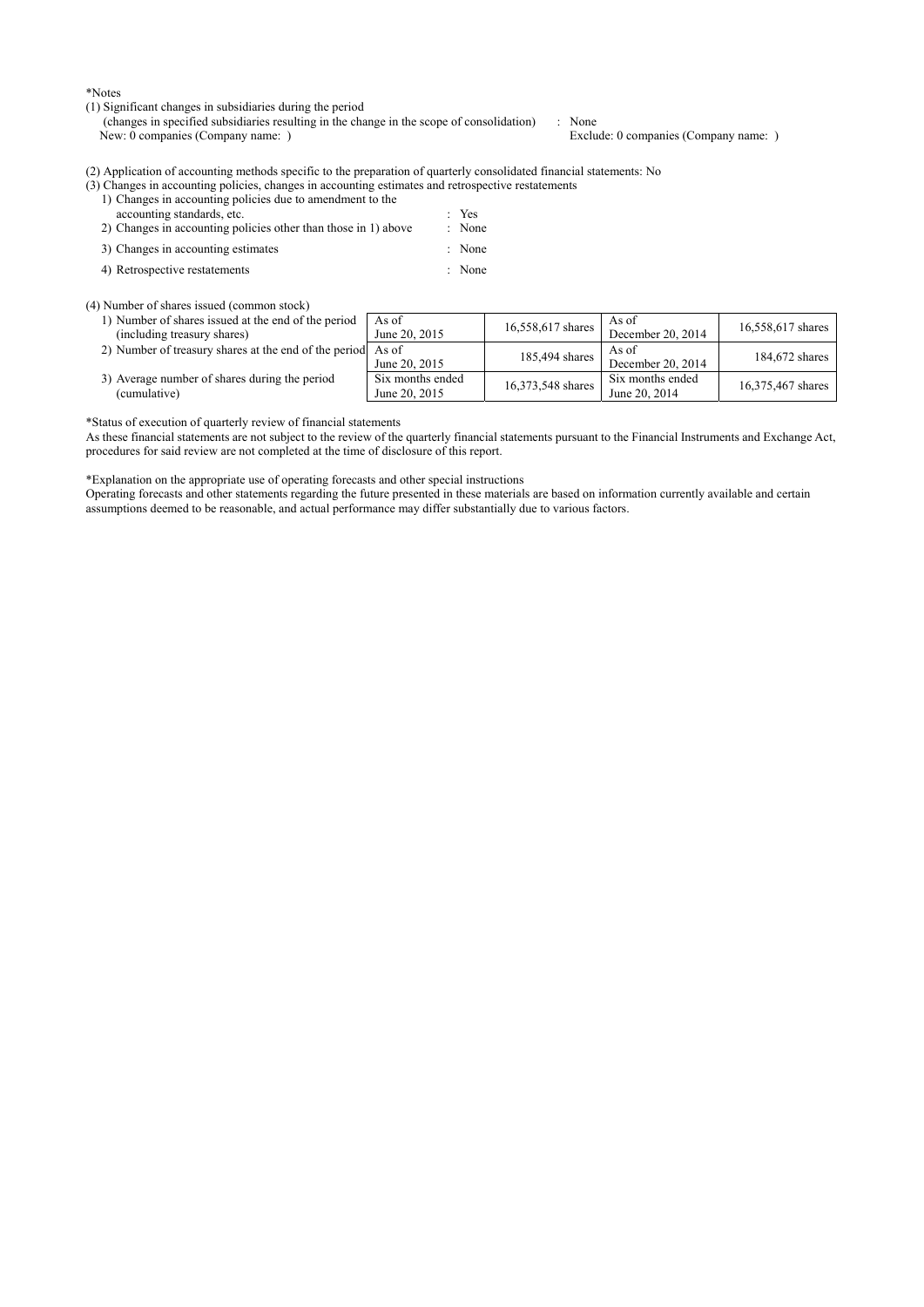\*Notes

(1) Significant changes in subsidiaries during the period

(changes in specified subsidiaries resulting in the change in the scope of consolidation) : None<br>New: 0 companies (Company name: ) Exclu

Exclude: 0 companies (Company name: )

(2) Application of accounting methods specific to the preparation of quarterly consolidated financial statements: No

| (3) Changes in accounting policies, changes in accounting estimates and retrospective restatements |  |  |              |  |
|----------------------------------------------------------------------------------------------------|--|--|--------------|--|
| 1) Changes in accounting policies due to amendment to the                                          |  |  |              |  |
| accounting standards, etc.                                                                         |  |  | $Y$ es       |  |
| $20.01$ . The $1.1$ and $1.1$ and $1.1$                                                            |  |  | $\mathbf{X}$ |  |

| 2) Changes in accounting policies other than those in 1) above | : None |
|----------------------------------------------------------------|--------|
| 3) Changes in accounting estimates                             | : None |

4) Retrospective restatements : None

(4) Number of shares issued (common stock)

| 1) Number of shares issued at the end of the period<br>(including treasury shares) | As of<br>June 20, 2015            | 16,558,617 shares | As of<br>December 20, 2014        | 16,558,617 shares |
|------------------------------------------------------------------------------------|-----------------------------------|-------------------|-----------------------------------|-------------------|
| 2) Number of treasury shares at the end of the period As of                        | June 20, 2015                     | 185,494 shares    | As of<br>December 20, 2014        | 184,672 shares    |
| 3) Average number of shares during the period<br>(cumulative)                      | Six months ended<br>June 20, 2015 | 16,373,548 shares | Six months ended<br>June 20, 2014 | 16,375,467 shares |

\*Status of execution of quarterly review of financial statements

As these financial statements are not subject to the review of the quarterly financial statements pursuant to the Financial Instruments and Exchange Act, procedures for said review are not completed at the time of disclosure of this report.

\*Explanation on the appropriate use of operating forecasts and other special instructions

Operating forecasts and other statements regarding the future presented in these materials are based on information currently available and certain assumptions deemed to be reasonable, and actual performance may differ substantially due to various factors.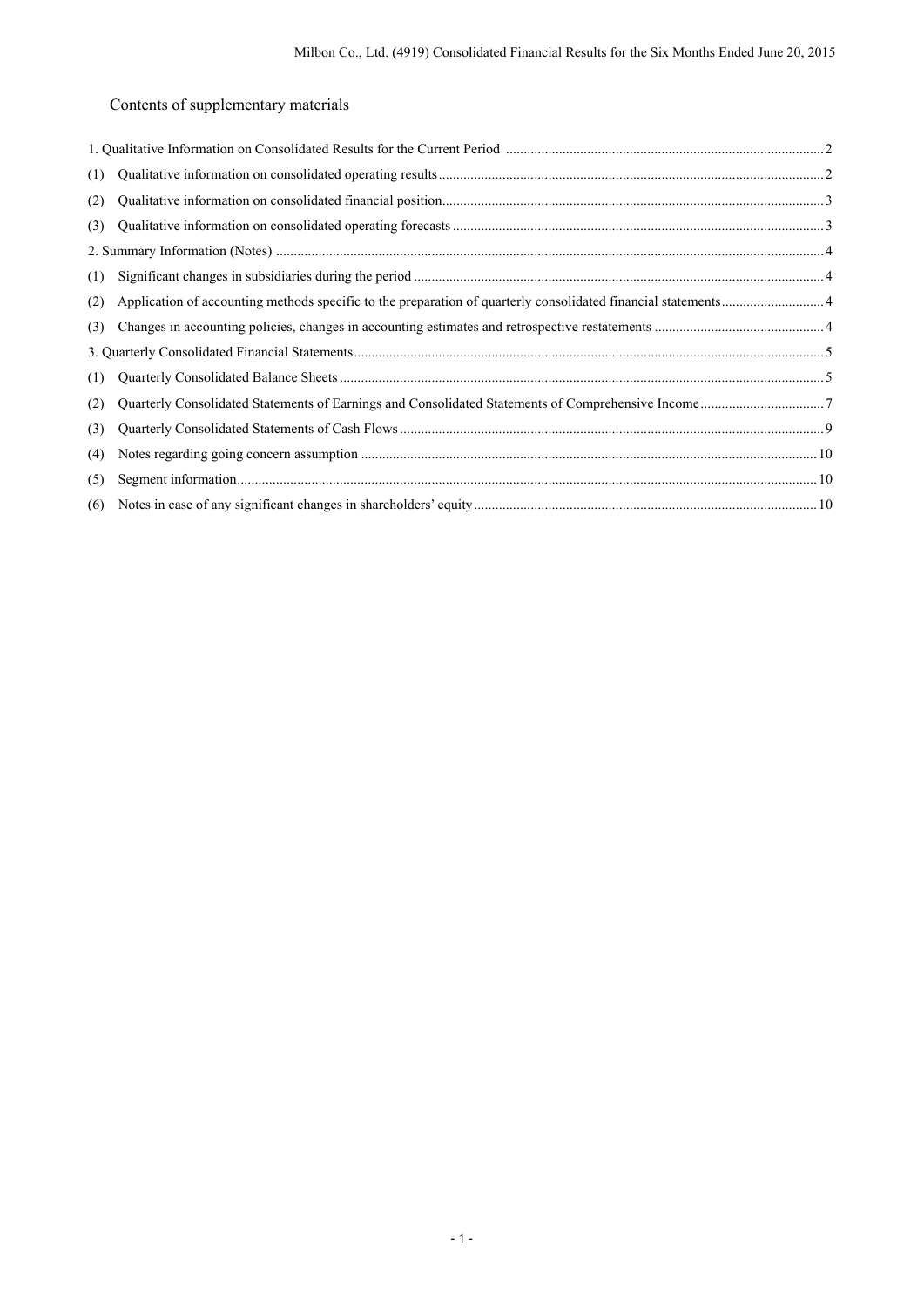Contents of supplementary materials

| (1) |  |
|-----|--|
| (2) |  |
| (3) |  |
|     |  |
| (1) |  |
| (2) |  |
| (3) |  |
|     |  |
| (1) |  |
| (2) |  |
| (3) |  |
| (4) |  |
| (5) |  |
| (6) |  |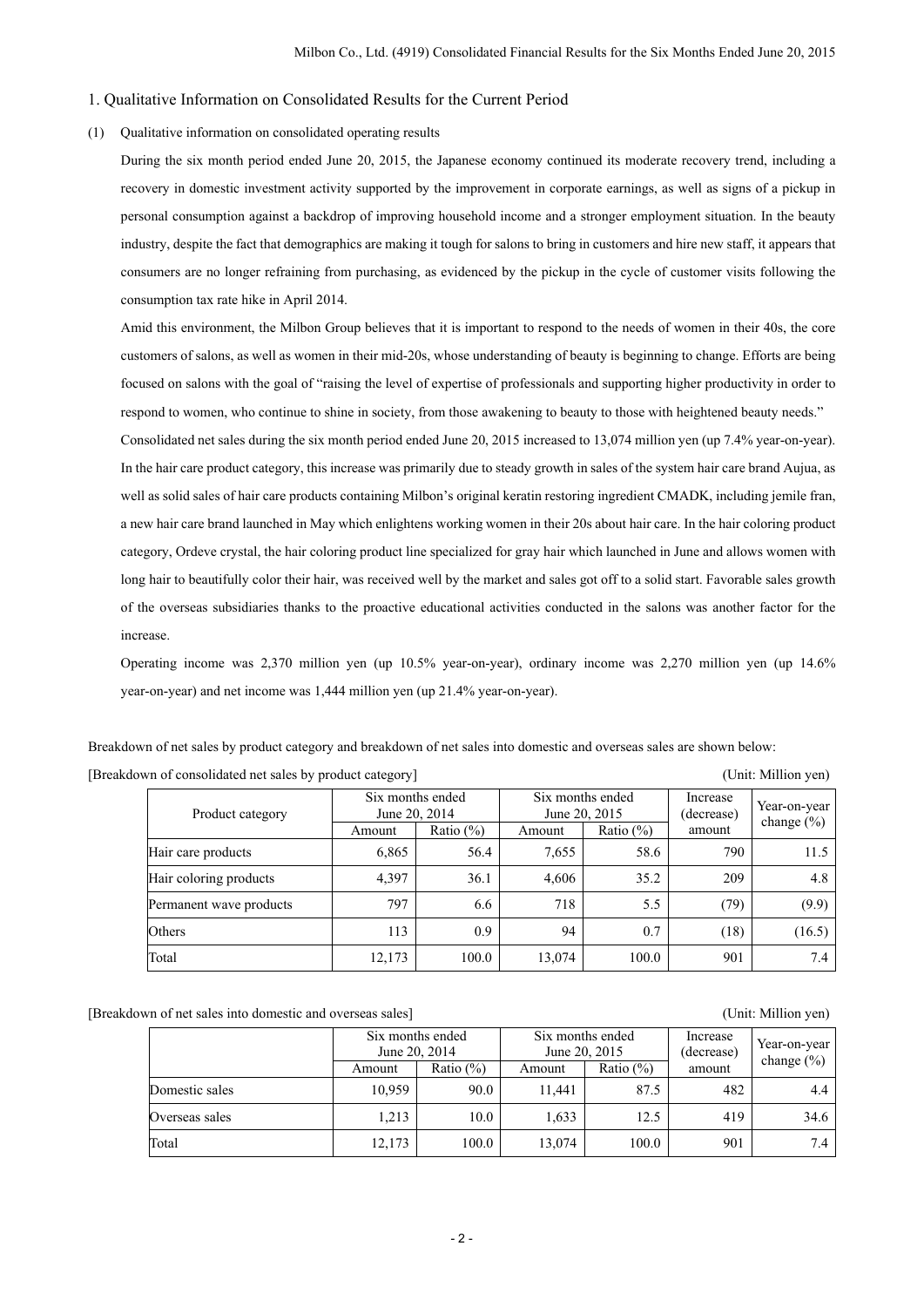#### 1. Qualitative Information on Consolidated Results for the Current Period

#### (1) Qualitative information on consolidated operating results

During the six month period ended June 20, 2015, the Japanese economy continued its moderate recovery trend, including a recovery in domestic investment activity supported by the improvement in corporate earnings, as well as signs of a pickup in personal consumption against a backdrop of improving household income and a stronger employment situation. In the beauty industry, despite the fact that demographics are making it tough for salons to bring in customers and hire new staff, it appears that consumers are no longer refraining from purchasing, as evidenced by the pickup in the cycle of customer visits following the consumption tax rate hike in April 2014.

Amid this environment, the Milbon Group believes that it is important to respond to the needs of women in their 40s, the core customers of salons, as well as women in their mid-20s, whose understanding of beauty is beginning to change. Efforts are being focused on salons with the goal of "raising the level of expertise of professionals and supporting higher productivity in order to respond to women, who continue to shine in society, from those awakening to beauty to those with heightened beauty needs."

Consolidated net sales during the six month period ended June 20, 2015 increased to 13,074 million yen (up 7.4% year-on-year). In the hair care product category, this increase was primarily due to steady growth in sales of the system hair care brand Aujua, as well as solid sales of hair care products containing Milbon's original keratin restoring ingredient CMADK, including jemile fran, a new hair care brand launched in May which enlightens working women in their 20s about hair care. In the hair coloring product category, Ordeve crystal, the hair coloring product line specialized for gray hair which launched in June and allows women with long hair to beautifully color their hair, was received well by the market and sales got off to a solid start. Favorable sales growth of the overseas subsidiaries thanks to the proactive educational activities conducted in the salons was another factor for the increase.

Operating income was 2,370 million yen (up 10.5% year-on-year), ordinary income was 2,270 million yen (up 14.6% year-on-year) and net income was 1,444 million yen (up 21.4% year-on-year).

Breakdown of net sales by product category and breakdown of net sales into domestic and overseas sales are shown below:

[Breakdown of consolidated net sales by product category] (Unit: Million yen)

| Product category        | Six months ended<br>June 20, 2014<br>Ratio $(\% )$<br>Amount |       | Six months ended<br>June 20, 2015<br>Amount | Ratio $(\%)$ | Increase<br>(decrease)<br>amount | Year-on-year<br>change $(\% )$ |
|-------------------------|--------------------------------------------------------------|-------|---------------------------------------------|--------------|----------------------------------|--------------------------------|
|                         |                                                              |       |                                             |              |                                  |                                |
| Hair care products      | 6,865                                                        | 56.4  | 7,655                                       | 58.6         | 790                              | 11.5                           |
| Hair coloring products  | 4,397                                                        | 36.1  | 4,606                                       | 35.2         | 209                              | 4.8                            |
| Permanent wave products | 797                                                          | 6.6   | 718                                         | 5.5          | (79)                             | (9.9)                          |
| Others                  | 113                                                          | 0.9   | 94                                          | 0.7          | (18)                             | (16.5)                         |
| Total                   | 12,173                                                       | 100.0 | 13,074                                      | 100.0        | 901                              | 7.4                            |

[Breakdown of net sales into domestic and overseas sales] (Unit: Million yen)

|                | Six months ended<br>June 20, 2014 |              | Six months ended |              | Increase   | Year-on-year   |  |
|----------------|-----------------------------------|--------------|------------------|--------------|------------|----------------|--|
|                |                                   |              | June 20, 2015    |              | (decrease) | change $(\% )$ |  |
|                | Amount                            | Ratio $(\%)$ | Amount           | Ratio $(\%)$ | amount     |                |  |
| Domestic sales | 10,959                            | 90.0         | 11.441           | 87.5         | 482        | 4.4            |  |
| Overseas sales | 1.213                             | 10.0         | 1.633            | 12.5         | 419        | 34.6           |  |
| Total          | 12,173                            | 100.0        | 13,074           | 100.0        | 901        | 7.4            |  |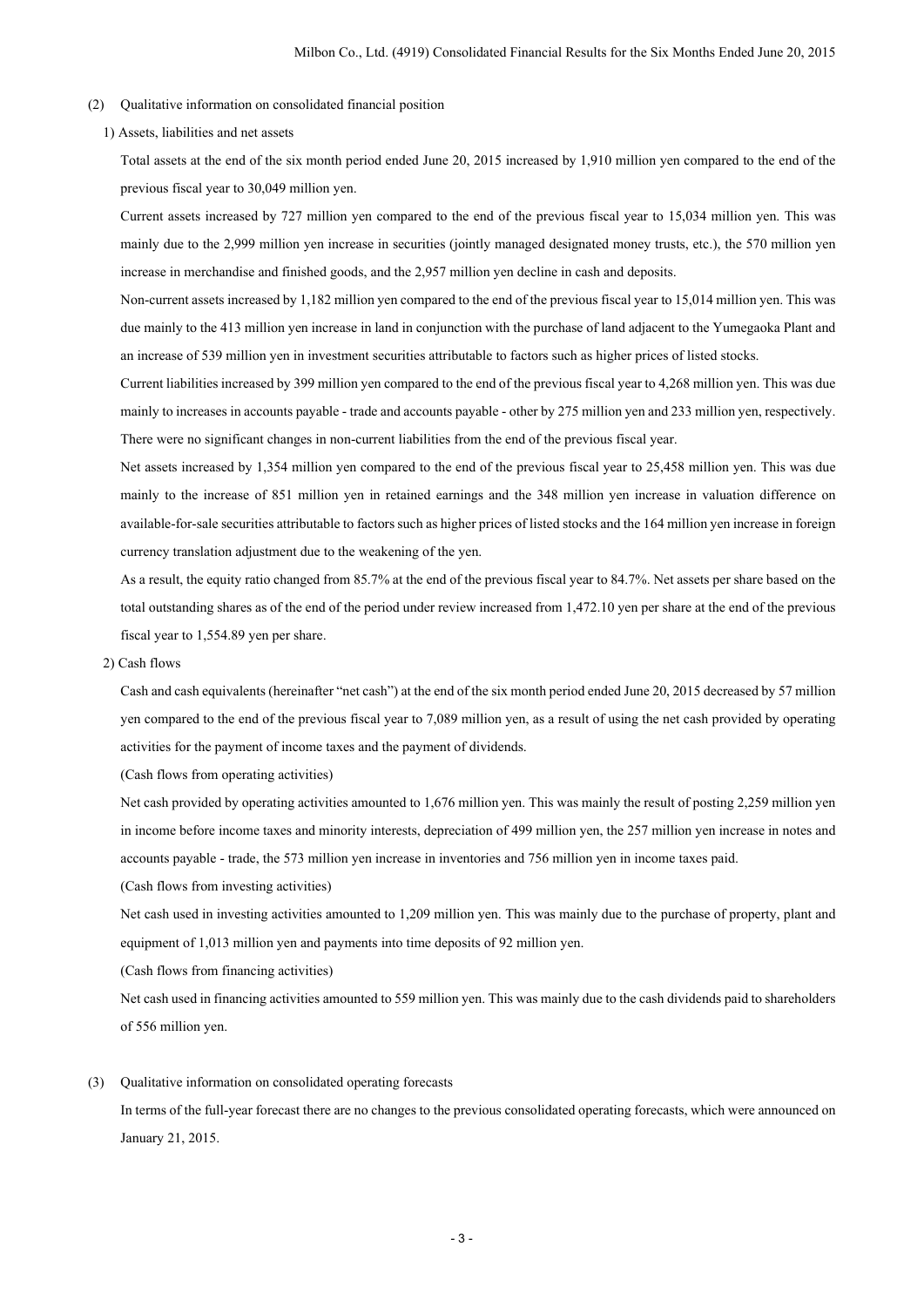- (2) Qualitative information on consolidated financial position
	- 1) Assets, liabilities and net assets

Total assets at the end of the six month period ended June 20, 2015 increased by 1,910 million yen compared to the end of the previous fiscal year to 30,049 million yen.

Current assets increased by 727 million yen compared to the end of the previous fiscal year to 15,034 million yen. This was mainly due to the 2,999 million yen increase in securities (jointly managed designated money trusts, etc.), the 570 million yen increase in merchandise and finished goods, and the 2,957 million yen decline in cash and deposits.

Non-current assets increased by 1,182 million yen compared to the end of the previous fiscal year to 15,014 million yen. This was due mainly to the 413 million yen increase in land in conjunction with the purchase of land adjacent to the Yumegaoka Plant and an increase of 539 million yen in investment securities attributable to factors such as higher prices of listed stocks.

Current liabilities increased by 399 million yen compared to the end of the previous fiscal year to 4,268 million yen. This was due mainly to increases in accounts payable - trade and accounts payable - other by 275 million yen and 233 million yen, respectively. There were no significant changes in non-current liabilities from the end of the previous fiscal year.

Net assets increased by 1,354 million yen compared to the end of the previous fiscal year to 25,458 million yen. This was due mainly to the increase of 851 million yen in retained earnings and the 348 million yen increase in valuation difference on available-for-sale securities attributable to factors such as higher prices of listed stocks and the 164 million yen increase in foreign currency translation adjustment due to the weakening of the yen.

As a result, the equity ratio changed from 85.7% at the end of the previous fiscal year to 84.7%. Net assets per share based on the total outstanding shares as of the end of the period under review increased from 1,472.10 yen per share at the end of the previous fiscal year to 1,554.89 yen per share.

2) Cash flows

Cash and cash equivalents (hereinafter "net cash") at the end of the six month period ended June 20, 2015 decreased by 57 million yen compared to the end of the previous fiscal year to 7,089 million yen, as a result of using the net cash provided by operating activities for the payment of income taxes and the payment of dividends.

(Cash flows from operating activities)

Net cash provided by operating activities amounted to 1,676 million yen. This was mainly the result of posting 2,259 million yen in income before income taxes and minority interests, depreciation of 499 million yen, the 257 million yen increase in notes and accounts payable - trade, the 573 million yen increase in inventories and 756 million yen in income taxes paid.

(Cash flows from investing activities)

Net cash used in investing activities amounted to 1,209 million yen. This was mainly due to the purchase of property, plant and equipment of 1,013 million yen and payments into time deposits of 92 million yen.

(Cash flows from financing activities)

Net cash used in financing activities amounted to 559 million yen. This was mainly due to the cash dividends paid to shareholders of 556 million yen.

(3) Qualitative information on consolidated operating forecasts

In terms of the full-year forecast there are no changes to the previous consolidated operating forecasts, which were announced on January 21, 2015.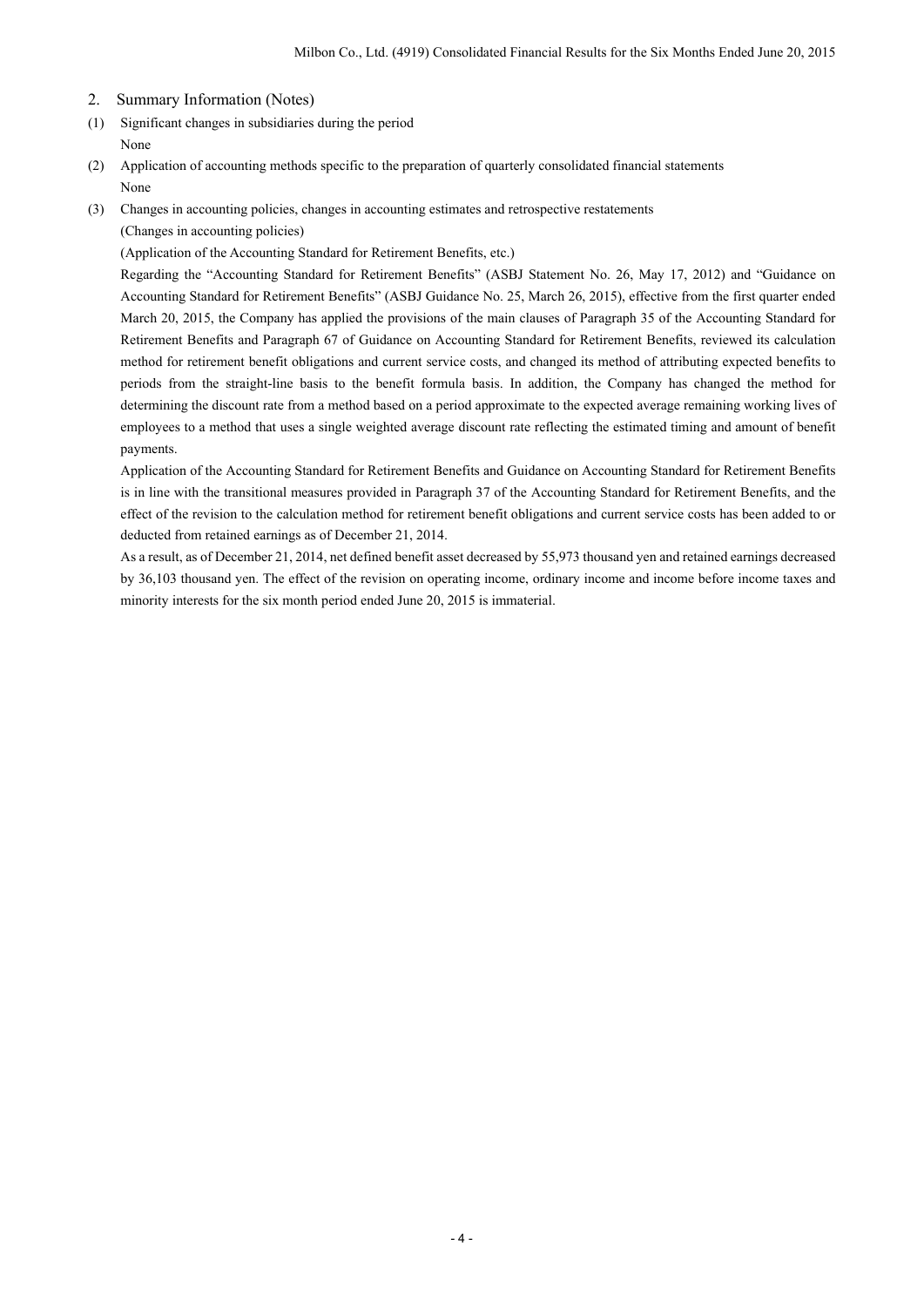- 2. Summary Information (Notes)
- (1) Significant changes in subsidiaries during the period None
- (2) Application of accounting methods specific to the preparation of quarterly consolidated financial statements None
- (3) Changes in accounting policies, changes in accounting estimates and retrospective restatements

(Changes in accounting policies)

(Application of the Accounting Standard for Retirement Benefits, etc.)

Regarding the "Accounting Standard for Retirement Benefits" (ASBJ Statement No. 26, May 17, 2012) and "Guidance on Accounting Standard for Retirement Benefits" (ASBJ Guidance No. 25, March 26, 2015), effective from the first quarter ended March 20, 2015, the Company has applied the provisions of the main clauses of Paragraph 35 of the Accounting Standard for Retirement Benefits and Paragraph 67 of Guidance on Accounting Standard for Retirement Benefits, reviewed its calculation method for retirement benefit obligations and current service costs, and changed its method of attributing expected benefits to periods from the straight-line basis to the benefit formula basis. In addition, the Company has changed the method for determining the discount rate from a method based on a period approximate to the expected average remaining working lives of employees to a method that uses a single weighted average discount rate reflecting the estimated timing and amount of benefit payments.

Application of the Accounting Standard for Retirement Benefits and Guidance on Accounting Standard for Retirement Benefits is in line with the transitional measures provided in Paragraph 37 of the Accounting Standard for Retirement Benefits, and the effect of the revision to the calculation method for retirement benefit obligations and current service costs has been added to or deducted from retained earnings as of December 21, 2014.

As a result, as of December 21, 2014, net defined benefit asset decreased by 55,973 thousand yen and retained earnings decreased by 36,103 thousand yen. The effect of the revision on operating income, ordinary income and income before income taxes and minority interests for the six month period ended June 20, 2015 is immaterial.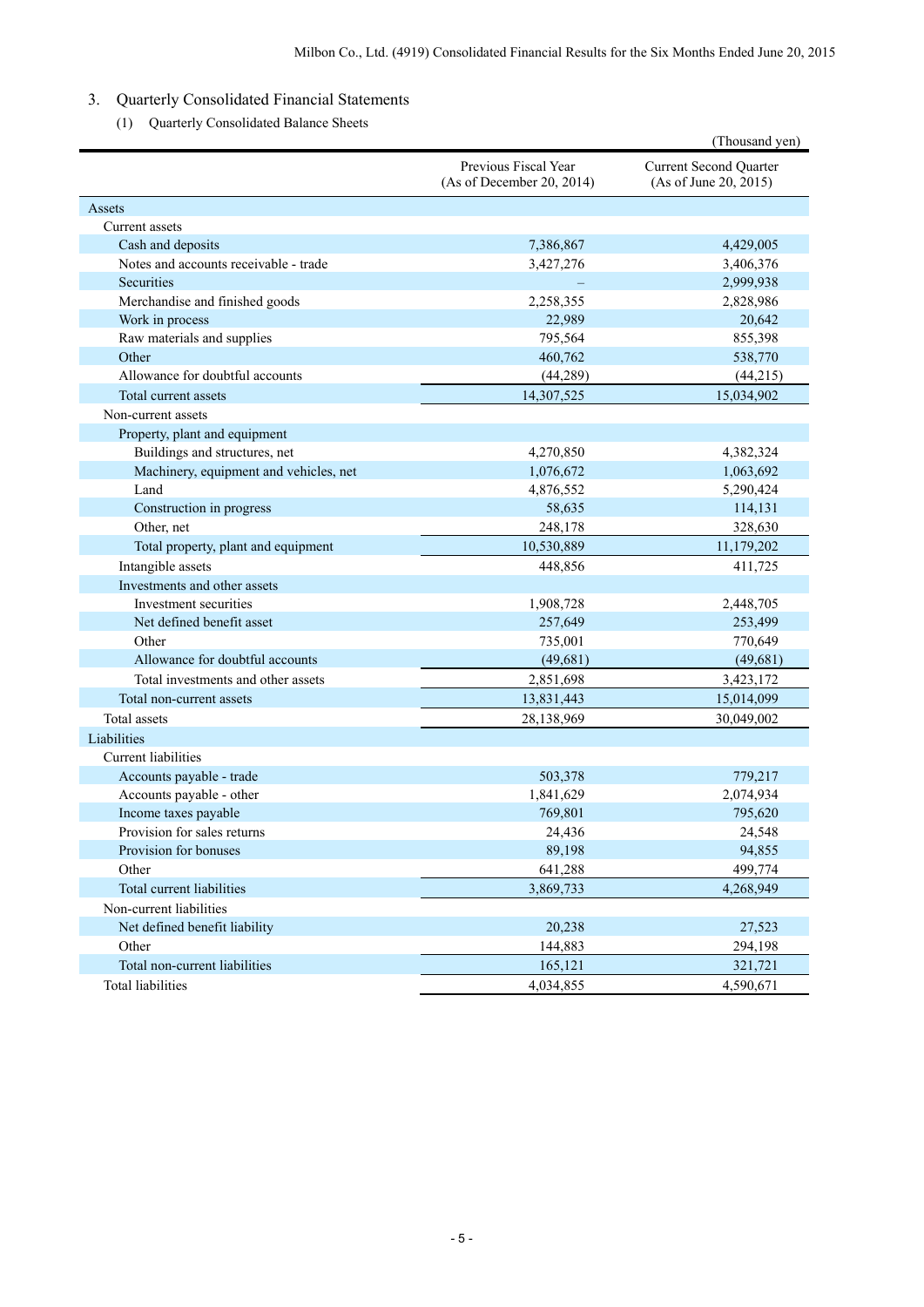# 3. Quarterly Consolidated Financial Statements

(1) Quarterly Consolidated Balance Sheets

|                                        |                                                   | (Thousand yen)                                         |
|----------------------------------------|---------------------------------------------------|--------------------------------------------------------|
|                                        | Previous Fiscal Year<br>(As of December 20, 2014) | <b>Current Second Quarter</b><br>(As of June 20, 2015) |
| Assets                                 |                                                   |                                                        |
| Current assets                         |                                                   |                                                        |
| Cash and deposits                      | 7,386,867                                         | 4,429,005                                              |
| Notes and accounts receivable - trade  | 3,427,276                                         | 3,406,376                                              |
| Securities                             |                                                   | 2,999,938                                              |
| Merchandise and finished goods         | 2,258,355                                         | 2,828,986                                              |
| Work in process                        | 22,989                                            | 20,642                                                 |
| Raw materials and supplies             | 795,564                                           | 855,398                                                |
| Other                                  | 460,762                                           | 538,770                                                |
| Allowance for doubtful accounts        | (44, 289)                                         | (44,215)                                               |
| Total current assets                   | 14,307,525                                        | 15,034,902                                             |
| Non-current assets                     |                                                   |                                                        |
| Property, plant and equipment          |                                                   |                                                        |
| Buildings and structures, net          | 4,270,850                                         | 4,382,324                                              |
| Machinery, equipment and vehicles, net | 1,076,672                                         | 1,063,692                                              |
| Land                                   | 4,876,552                                         | 5,290,424                                              |
| Construction in progress               | 58,635                                            | 114,131                                                |
| Other, net                             | 248,178                                           | 328,630                                                |
| Total property, plant and equipment    | 10,530,889                                        | 11,179,202                                             |
| Intangible assets                      | 448,856                                           | 411,725                                                |
| Investments and other assets           |                                                   |                                                        |
| Investment securities                  | 1,908,728                                         | 2,448,705                                              |
| Net defined benefit asset              | 257,649                                           | 253,499                                                |
| Other                                  | 735,001                                           | 770,649                                                |
| Allowance for doubtful accounts        | (49, 681)                                         | (49, 681)                                              |
| Total investments and other assets     | 2,851,698                                         | 3,423,172                                              |
| Total non-current assets               | 13,831,443                                        | 15,014,099                                             |
| Total assets                           | 28,138,969                                        | 30,049,002                                             |
| Liabilities                            |                                                   |                                                        |
| <b>Current liabilities</b>             |                                                   |                                                        |
| Accounts payable - trade               | 503,378                                           | 779,217                                                |
| Accounts payable - other               | 1,841,629                                         | 2,074,934                                              |
| Income taxes payable                   | 769,801                                           | 795,620                                                |
| Provision for sales returns            | 24,436                                            | 24,548                                                 |
| Provision for bonuses                  | 89,198                                            | 94,855                                                 |
| Other                                  | 641,288                                           | 499,774                                                |
| Total current liabilities              | 3,869,733                                         | 4,268,949                                              |
| Non-current liabilities                |                                                   |                                                        |
| Net defined benefit liability          | 20,238                                            | 27,523                                                 |
| Other                                  | 144,883                                           | 294,198                                                |
| Total non-current liabilities          | 165,121                                           | 321,721                                                |
| <b>Total liabilities</b>               | 4,034,855                                         | 4,590,671                                              |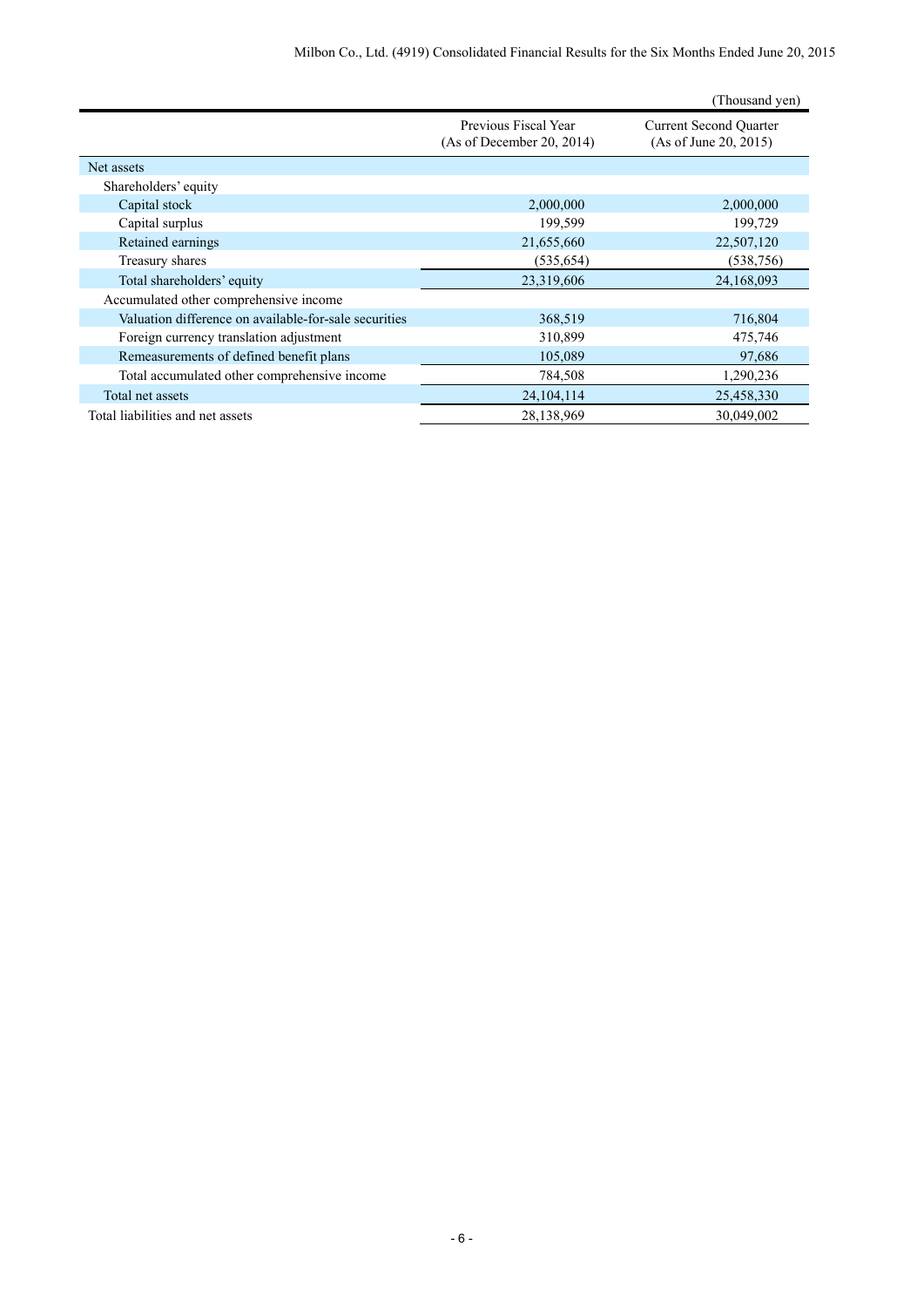|                                                       |                                                   | (Thousand yen)                                         |
|-------------------------------------------------------|---------------------------------------------------|--------------------------------------------------------|
|                                                       | Previous Fiscal Year<br>(As of December 20, 2014) | <b>Current Second Quarter</b><br>(As of June 20, 2015) |
| Net assets                                            |                                                   |                                                        |
| Shareholders' equity                                  |                                                   |                                                        |
| Capital stock                                         | 2,000,000                                         | 2,000,000                                              |
| Capital surplus                                       | 199,599                                           | 199,729                                                |
| Retained earnings                                     | 21,655,660                                        | 22,507,120                                             |
| Treasury shares                                       | (535, 654)                                        | (538, 756)                                             |
| Total shareholders' equity                            | 23,319,606                                        | 24,168,093                                             |
| Accumulated other comprehensive income                |                                                   |                                                        |
| Valuation difference on available-for-sale securities | 368,519                                           | 716,804                                                |
| Foreign currency translation adjustment               | 310,899                                           | 475,746                                                |
| Remeasurements of defined benefit plans               | 105,089                                           | 97,686                                                 |
| Total accumulated other comprehensive income          | 784,508                                           | 1,290,236                                              |
| Total net assets                                      | 24, 104, 114                                      | 25,458,330                                             |
| Total liabilities and net assets                      | 28,138,969                                        | 30,049,002                                             |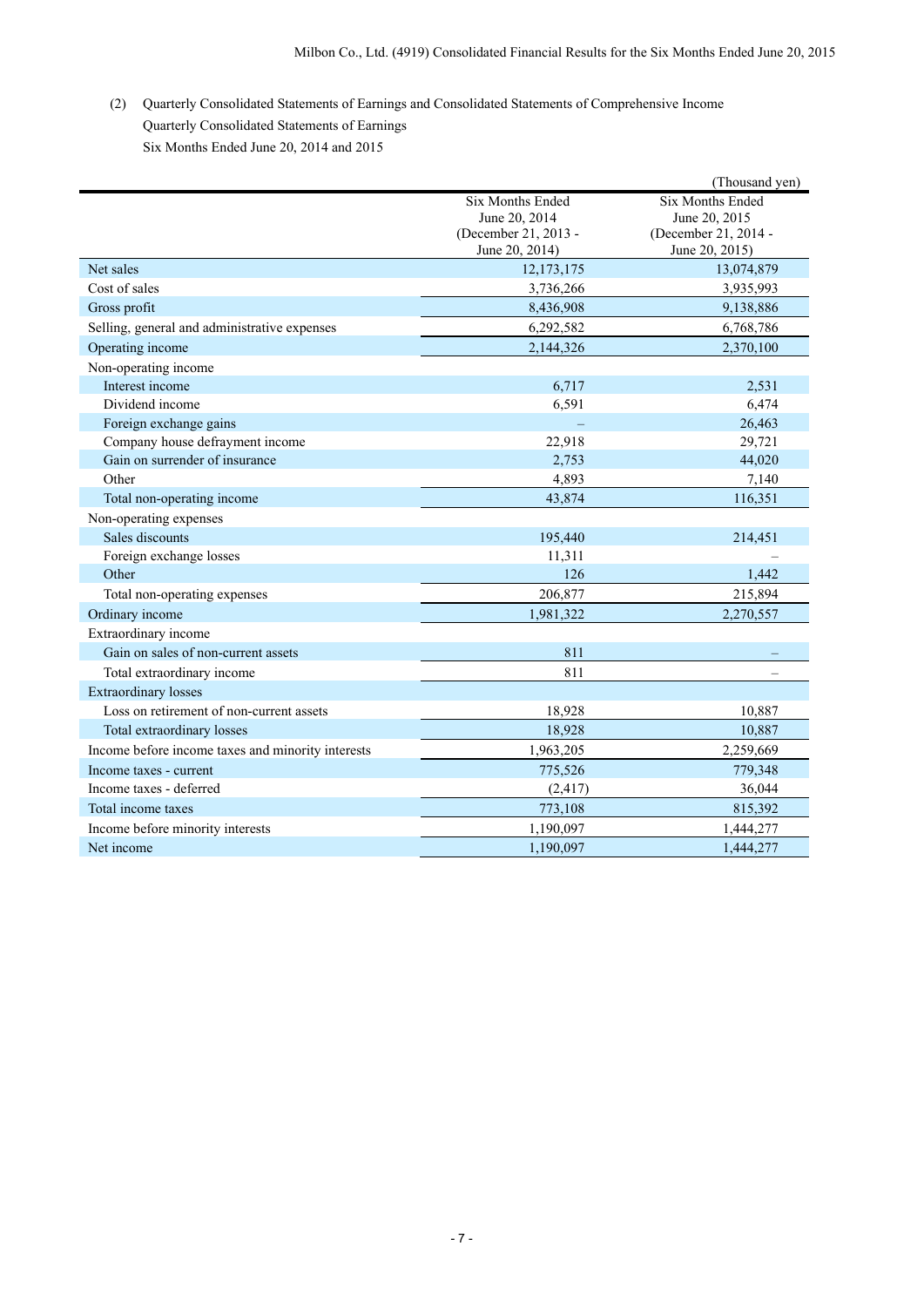(2) Quarterly Consolidated Statements of Earnings and Consolidated Statements of Comprehensive Income Quarterly Consolidated Statements of Earnings Six Months Ended June 20, 2014 and 2015

|                                                   |                      | (Thousand yen)       |
|---------------------------------------------------|----------------------|----------------------|
|                                                   | Six Months Ended     | Six Months Ended     |
|                                                   | June 20, 2014        | June 20, 2015        |
|                                                   | (December 21, 2013 - | (December 21, 2014 - |
|                                                   | June 20, 2014)       | June 20, 2015)       |
| Net sales                                         | 12, 173, 175         | 13,074,879           |
| Cost of sales                                     | 3,736,266            | 3,935,993            |
| Gross profit                                      | 8,436,908            | 9,138,886            |
| Selling, general and administrative expenses      | 6,292,582            | 6,768,786            |
| Operating income                                  | 2,144,326            | 2,370,100            |
| Non-operating income                              |                      |                      |
| Interest income                                   | 6,717                | 2,531                |
| Dividend income                                   | 6,591                | 6,474                |
| Foreign exchange gains                            |                      | 26,463               |
| Company house defrayment income                   | 22,918               | 29,721               |
| Gain on surrender of insurance                    | 2,753                | 44,020               |
| Other                                             | 4,893                | 7,140                |
| Total non-operating income                        | 43,874               | 116,351              |
| Non-operating expenses                            |                      |                      |
| Sales discounts                                   | 195,440              | 214,451              |
| Foreign exchange losses                           | 11,311               |                      |
| Other                                             | 126                  | 1,442                |
| Total non-operating expenses                      | 206,877              | 215,894              |
| Ordinary income                                   | 1,981,322            | 2,270,557            |
| Extraordinary income                              |                      |                      |
| Gain on sales of non-current assets               | 811                  |                      |
| Total extraordinary income                        | 811                  |                      |
| <b>Extraordinary losses</b>                       |                      |                      |
| Loss on retirement of non-current assets          | 18,928               | 10,887               |
| Total extraordinary losses                        | 18,928               | 10,887               |
| Income before income taxes and minority interests | 1,963,205            | 2,259,669            |
| Income taxes - current                            | 775,526              | 779,348              |
| Income taxes - deferred                           | (2, 417)             | 36,044               |
| Total income taxes                                | 773,108              | 815,392              |
| Income before minority interests                  | 1,190,097            | 1,444,277            |
| Net income                                        | 1,190,097            | 1,444,277            |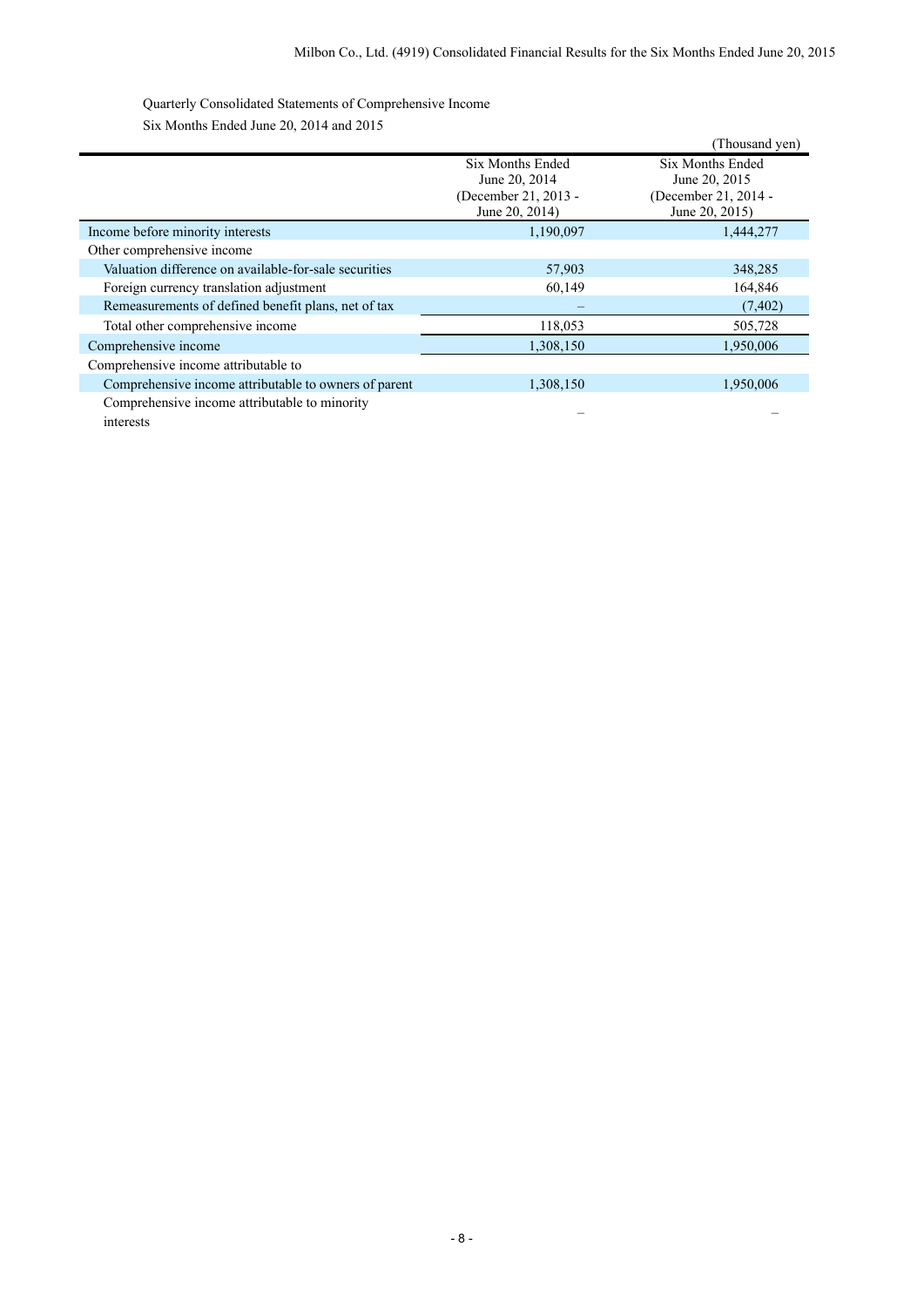Quarterly Consolidated Statements of Comprehensive Income Six Months Ended June 20, 2014 and 2015

|                                                            |                                                                             | (Thousand yen)                                                                     |
|------------------------------------------------------------|-----------------------------------------------------------------------------|------------------------------------------------------------------------------------|
|                                                            | Six Months Ended<br>June 20, 2014<br>(December 21, 2013 -<br>June 20, 2014) | <b>Six Months Ended</b><br>June 20, 2015<br>(December 21, 2014 -<br>June 20, 2015) |
| Income before minority interests                           | 1,190,097                                                                   | 1,444,277                                                                          |
| Other comprehensive income                                 |                                                                             |                                                                                    |
| Valuation difference on available-for-sale securities      | 57,903                                                                      | 348,285                                                                            |
| Foreign currency translation adjustment                    | 60,149                                                                      | 164,846                                                                            |
| Remeasurements of defined benefit plans, net of tax        |                                                                             | (7, 402)                                                                           |
| Total other comprehensive income                           | 118,053                                                                     | 505,728                                                                            |
| Comprehensive income                                       | 1,308,150                                                                   | 1,950,006                                                                          |
| Comprehensive income attributable to                       |                                                                             |                                                                                    |
| Comprehensive income attributable to owners of parent      | 1,308,150                                                                   | 1,950,006                                                                          |
| Comprehensive income attributable to minority<br>interests |                                                                             |                                                                                    |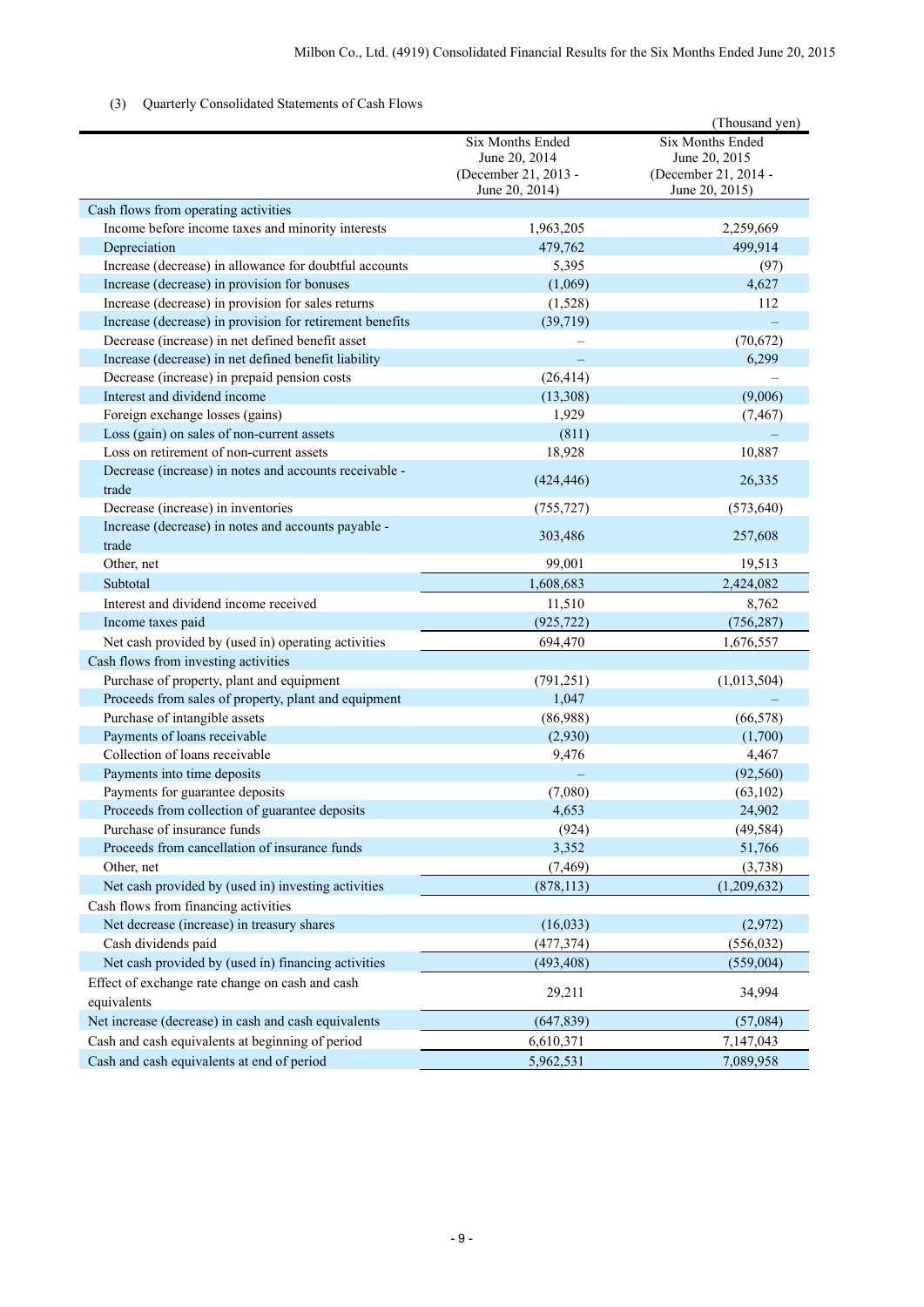# (3) Quarterly Consolidated Statements of Cash Flows

|                                                                                   |                                                                             | (Thousand yen)                                                              |
|-----------------------------------------------------------------------------------|-----------------------------------------------------------------------------|-----------------------------------------------------------------------------|
|                                                                                   | Six Months Ended<br>June 20, 2014<br>(December 21, 2013 -<br>June 20, 2014) | Six Months Ended<br>June 20, 2015<br>(December 21, 2014 -<br>June 20, 2015) |
| Cash flows from operating activities                                              |                                                                             |                                                                             |
| Income before income taxes and minority interests                                 | 1,963,205                                                                   | 2,259,669                                                                   |
| Depreciation                                                                      | 479,762                                                                     | 499,914                                                                     |
| Increase (decrease) in allowance for doubtful accounts                            | 5,395                                                                       | (97)                                                                        |
| Increase (decrease) in provision for bonuses                                      | (1,069)                                                                     | 4,627                                                                       |
| Increase (decrease) in provision for sales returns                                | (1,528)                                                                     | 112                                                                         |
| Increase (decrease) in provision for retirement benefits                          | (39, 719)                                                                   |                                                                             |
| Decrease (increase) in net defined benefit asset                                  |                                                                             | (70, 672)                                                                   |
| Increase (decrease) in net defined benefit liability                              |                                                                             | 6,299                                                                       |
| Decrease (increase) in prepaid pension costs                                      | (26, 414)                                                                   |                                                                             |
| Interest and dividend income                                                      | (13,308)                                                                    | (9,006)                                                                     |
| Foreign exchange losses (gains)                                                   | 1,929                                                                       | (7, 467)                                                                    |
| Loss (gain) on sales of non-current assets                                        | (811)                                                                       |                                                                             |
| Loss on retirement of non-current assets                                          | 18,928                                                                      | 10,887                                                                      |
| Decrease (increase) in notes and accounts receivable -<br>trade                   | (424, 446)                                                                  | 26,335                                                                      |
| Decrease (increase) in inventories                                                | (755, 727)                                                                  | (573, 640)                                                                  |
| Increase (decrease) in notes and accounts payable -<br>trade                      | 303,486                                                                     | 257,608                                                                     |
| Other, net                                                                        | 99,001                                                                      | 19,513                                                                      |
| Subtotal                                                                          | 1,608,683                                                                   | 2,424,082                                                                   |
| Interest and dividend income received                                             | 11,510                                                                      | 8,762                                                                       |
| Income taxes paid                                                                 | (925, 722)                                                                  | (756, 287)                                                                  |
| Net cash provided by (used in) operating activities                               | 694,470                                                                     | 1,676,557                                                                   |
| Cash flows from investing activities                                              |                                                                             |                                                                             |
| Purchase of property, plant and equipment                                         |                                                                             |                                                                             |
|                                                                                   | (791, 251)<br>1,047                                                         | (1,013,504)                                                                 |
| Proceeds from sales of property, plant and equipment                              | (86,988)                                                                    | (66, 578)                                                                   |
| Purchase of intangible assets                                                     |                                                                             |                                                                             |
| Payments of loans receivable<br>Collection of loans receivable                    | (2,930)                                                                     | (1,700)                                                                     |
| Payments into time deposits                                                       | 9,476                                                                       | 4,467                                                                       |
|                                                                                   |                                                                             | (92, 560)                                                                   |
| Payments for guarantee deposits<br>Proceeds from collection of guarantee deposits | (7,080)<br>4,653                                                            | (63, 102)<br>24,902                                                         |
| Purchase of insurance funds                                                       |                                                                             |                                                                             |
| Proceeds from cancellation of insurance funds                                     | (924)<br>3,352                                                              | (49, 584)<br>51,766                                                         |
| Other, net                                                                        | (7, 469)                                                                    | (3,738)                                                                     |
|                                                                                   |                                                                             |                                                                             |
| Net cash provided by (used in) investing activities                               | (878, 113)                                                                  | (1,209,632)                                                                 |
| Cash flows from financing activities                                              |                                                                             |                                                                             |
| Net decrease (increase) in treasury shares                                        | (16, 033)                                                                   | (2,972)                                                                     |
| Cash dividends paid                                                               | (477, 374)                                                                  | (556, 032)                                                                  |
| Net cash provided by (used in) financing activities                               | (493, 408)                                                                  | (559,004)                                                                   |
| Effect of exchange rate change on cash and cash                                   | 29,211                                                                      | 34,994                                                                      |
| equivalents                                                                       |                                                                             |                                                                             |
| Net increase (decrease) in cash and cash equivalents                              | (647, 839)                                                                  | (57,084)                                                                    |
| Cash and cash equivalents at beginning of period                                  | 6,610,371                                                                   | 7,147,043                                                                   |
| Cash and cash equivalents at end of period                                        | 5,962,531                                                                   | 7,089,958                                                                   |